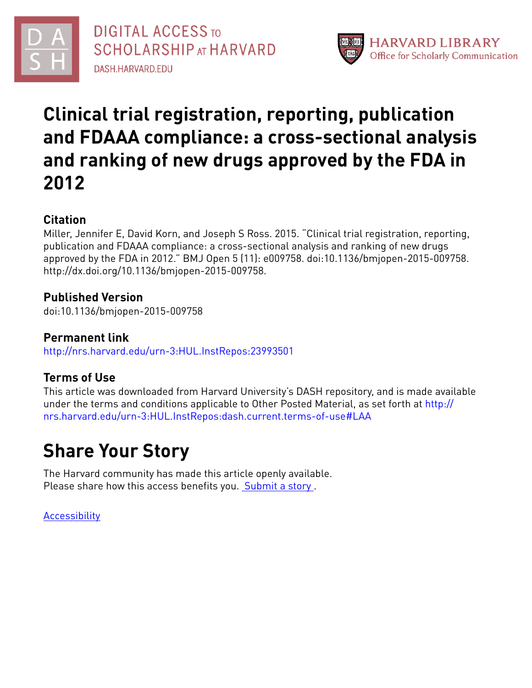



# **Clinical trial registration, reporting, publication and FDAAA compliance: a cross-sectional analysis and ranking of new drugs approved by the FDA in 2012**

# **Citation**

Miller, Jennifer E, David Korn, and Joseph S Ross. 2015. "Clinical trial registration, reporting, publication and FDAAA compliance: a cross-sectional analysis and ranking of new drugs approved by the FDA in 2012." BMJ Open 5 (11): e009758. doi:10.1136/bmjopen-2015-009758. http://dx.doi.org/10.1136/bmjopen-2015-009758.

# **Published Version**

doi:10.1136/bmjopen-2015-009758

# **Permanent link**

<http://nrs.harvard.edu/urn-3:HUL.InstRepos:23993501>

# **Terms of Use**

This article was downloaded from Harvard University's DASH repository, and is made available under the terms and conditions applicable to Other Posted Material, as set forth at [http://](http://nrs.harvard.edu/urn-3:HUL.InstRepos:dash.current.terms-of-use#LAA) [nrs.harvard.edu/urn-3:HUL.InstRepos:dash.current.terms-of-use#LAA](http://nrs.harvard.edu/urn-3:HUL.InstRepos:dash.current.terms-of-use#LAA)

# **Share Your Story**

The Harvard community has made this article openly available. Please share how this access benefits you. [Submit](http://osc.hul.harvard.edu/dash/open-access-feedback?handle=&title=Clinical%20trial%20registration,%20reporting,%20publication%20and%20FDAAA%20compliance:%20a%20cross-sectional%20analysis%20and%20ranking%20of%20new%20drugs%20approved%20by%20the%20FDA%20in%202012&community=1/4454685&collection=1/4454686&owningCollection1/4454686&harvardAuthors=063438c1260180c704ba952d9a4a937c&department) a story.

**[Accessibility](https://dash.harvard.edu/pages/accessibility)**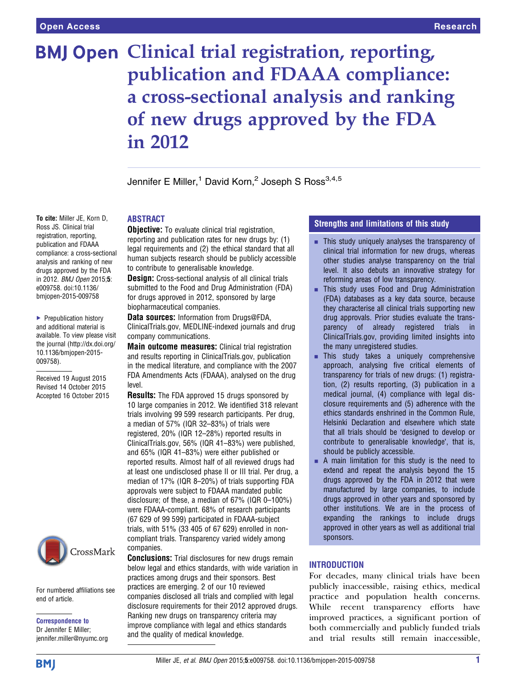# **BMJ Open Clinical trial registration, reporting,** publication and FDAAA compliance: a cross-sectional analysis and ranking of new drugs approved by the FDA in 2012

Jennifer E Miller,<sup>1</sup> David Korn,<sup>2</sup> Joseph S Ross<sup>3,4,5</sup>

## ABSTRACT

**Objective:** To evaluate clinical trial registration, reporting and publication rates for new drugs by: (1) legal requirements and (2) the ethical standard that all human subjects research should be publicly accessible to contribute to generalisable knowledge.

**Design:** Cross-sectional analysis of all clinical trials submitted to the Food and Drug Administration (FDA) for drugs approved in 2012, sponsored by large biopharmaceutical companies.

Data sources: Information from Drugs@FDA, ClinicalTrials.gov, MEDLINE-indexed journals and drug company communications.

Main outcome measures: Clinical trial registration and results reporting in ClinicalTrials.gov, publication in the medical literature, and compliance with the 2007 FDA Amendments Acts (FDAAA), analysed on the drug level.

**Results:** The FDA approved 15 drugs sponsored by 10 large companies in 2012. We identified 318 relevant trials involving 99 599 research participants. Per drug, a median of 57% (IQR 32–83%) of trials were registered, 20% (IQR 12–28%) reported results in ClinicalTrials.gov, 56% (IQR 41–83%) were published, and 65% (IQR 41–83%) were either published or reported results. Almost half of all reviewed drugs had at least one undisclosed phase II or III trial. Per drug, a median of 17% (IQR 8–20%) of trials supporting FDA approvals were subject to FDAAA mandated public disclosure; of these, a median of 67% (IQR 0–100%) were FDAAA-compliant. 68% of research participants (67 629 of 99 599) participated in FDAAA-subject trials, with 51% (33 405 of 67 629) enrolled in noncompliant trials. Transparency varied widely among companies.

**Conclusions:** Trial disclosures for new drugs remain below legal and ethics standards, with wide variation in practices among drugs and their sponsors. Best practices are emerging. 2 of our 10 reviewed companies disclosed all trials and complied with legal disclosure requirements for their 2012 approved drugs. Ranking new drugs on transparency criteria may improve compliance with legal and ethics standards and the quality of medical knowledge.

# Strengths and limitations of this study

- $\blacksquare$  This study uniquely analyses the transparency of clinical trial information for new drugs, whereas other studies analyse transparency on the trial level. It also debuts an innovative strategy for reforming areas of low transparency.
- This study uses Food and Drug Administration (FDA) databases as a key data source, because they characterise all clinical trials supporting new drug approvals. Prior studies evaluate the transparency of already registered trials in ClinicalTrials.gov, providing limited insights into the many unregistered studies.
- **EXECUTE:** This study takes a uniquely comprehensive approach, analysing five critical elements of transparency for trials of new drugs: (1) registration, (2) results reporting, (3) publication in a medical journal, (4) compliance with legal disclosure requirements and (5) adherence with the ethics standards enshrined in the Common Rule, Helsinki Declaration and elsewhere which state that all trials should be 'designed to develop or contribute to generalisable knowledge', that is, should be publicly accessible.
- $\blacksquare$  A main limitation for this study is the need to extend and repeat the analysis beyond the 15 drugs approved by the FDA in 2012 that were manufactured by large companies, to include drugs approved in other years and sponsored by other institutions. We are in the process of expanding the rankings to include drugs approved in other years as well as additional trial sponsors.

# **INTRODUCTION**

For decades, many clinical trials have been publicly inaccessible, raising ethics, medical practice and population health concerns. While recent transparency efforts have improved practices, a significant portion of both commercially and publicly funded trials and trial results still remain inaccessible,

To cite: Miller JE, Korn D, Ross JS. Clinical trial registration, reporting, publication and FDAAA compliance: a cross-sectional analysis and ranking of new drugs approved by the FDA in 2012. BMJ Open 2015;5: e009758. doi:10.1136/ bmjopen-2015-009758

▶ Prepublication history and additional material is available. To view please visit the journal [\(http://dx.doi.org/](http://dx.doi.org/10.1136/bmjopen-2015-009758) [10.1136/bmjopen-2015-](http://dx.doi.org/10.1136/bmjopen-2015-009758) [009758\)](http://dx.doi.org/10.1136/bmjopen-2015-009758).

Received 19 August 2015 Revised 14 October 2015 Accepted 16 October 2015



For numbered affiliations see end of article.

Correspondence to Dr Jennifer E Miller; jennifer.miller@nyumc.org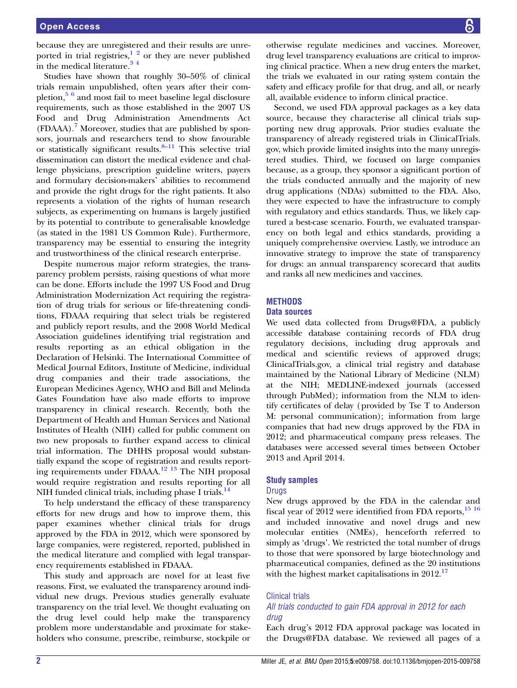because they are unregistered and their results are unreported in trial registries, $\frac{1}{2}$  or they are never published in the medical literature.<sup>34</sup>

Studies have shown that roughly 30–50% of clinical trials remain unpublished, often years after their completion, $5\,6\,$  and most fail to meet baseline legal disclosure requirements, such as those established in the 2007 US Food and Drug Administration Amendments Act  $(FDAAA)$ .<sup>[7](#page-8-0)</sup> Moreover, studies that are published by sponsors, journals and researchers tend to show favourable or statistically significant results. $8-11$  $8-11$  This selective trial dissemination can distort the medical evidence and challenge physicians, prescription guideline writers, payers and formulary decision-makers' abilities to recommend and provide the right drugs for the right patients. It also represents a violation of the rights of human research subjects, as experimenting on humans is largely justified by its potential to contribute to generalisable knowledge (as stated in the 1981 US Common Rule). Furthermore, transparency may be essential to ensuring the integrity and trustworthiness of the clinical research enterprise.

Despite numerous major reform strategies, the transparency problem persists, raising questions of what more can be done. Efforts include the 1997 US Food and Drug Administration Modernization Act requiring the registration of drug trials for serious or life-threatening conditions, FDAAA requiring that select trials be registered and publicly report results, and the 2008 World Medical Association guidelines identifying trial registration and results reporting as an ethical obligation in the Declaration of Helsinki. The International Committee of Medical Journal Editors, Institute of Medicine, individual drug companies and their trade associations, the European Medicines Agency, WHO and Bill and Melinda Gates Foundation have also made efforts to improve transparency in clinical research. Recently, both the Department of Health and Human Services and National Institutes of Health (NIH) called for public comment on two new proposals to further expand access to clinical trial information. The DHHS proposal would substantially expand the scope of registration and results reporting requirements under FDAAA.[12 13](#page-8-0) The NIH proposal would require registration and results reporting for all NIH funded clinical trials, including phase I trials. $^{14}$  $^{14}$  $^{14}$ 

To help understand the efficacy of these transparency efforts for new drugs and how to improve them, this paper examines whether clinical trials for drugs approved by the FDA in 2012, which were sponsored by large companies, were registered, reported, published in the medical literature and complied with legal transparency requirements established in FDAAA.

This study and approach are novel for at least five reasons. First, we evaluated the transparency around individual new drugs. Previous studies generally evaluate transparency on the trial level. We thought evaluating on the drug level could help make the transparency problem more understandable and proximate for stakeholders who consume, prescribe, reimburse, stockpile or

otherwise regulate medicines and vaccines. Moreover, drug level transparency evaluations are critical to improving clinical practice. When a new drug enters the market, the trials we evaluated in our rating system contain the safety and efficacy profile for that drug, and all, or nearly all, available evidence to inform clinical practice.

Second, we used FDA approval packages as a key data source, because they characterise all clinical trials supporting new drug approvals. Prior studies evaluate the transparency of already registered trials in ClinicalTrials. gov, which provide limited insights into the many unregistered studies. Third, we focused on large companies because, as a group, they sponsor a significant portion of the trials conducted annually and the majority of new drug applications (NDAs) submitted to the FDA. Also, they were expected to have the infrastructure to comply with regulatory and ethics standards. Thus, we likely captured a best-case scenario. Fourth, we evaluated transparency on both legal and ethics standards, providing a uniquely comprehensive overview. Lastly, we introduce an innovative strategy to improve the state of transparency for drugs: an annual transparency scorecard that audits and ranks all new medicines and vaccines.

# **METHODS**

#### Data sources

We used data collected from Drugs@FDA, a publicly accessible database containing records of FDA drug regulatory decisions, including drug approvals and medical and scientific reviews of approved drugs; ClinicalTrials.gov, a clinical trial registry and database maintained by the National Library of Medicine (NLM) at the NIH; MEDLINE-indexed journals (accessed through PubMed); information from the NLM to identify certificates of delay (provided by Tse T to Anderson M: personal communication); information from large companies that had new drugs approved by the FDA in 2012; and pharmaceutical company press releases. The databases were accessed several times between October 2013 and April 2014.

#### Study samples

#### Drugs

New drugs approved by the FDA in the calendar and fiscal year of 2012 were identified from FDA reports,<sup>[15 16](#page-8-0)</sup> and included innovative and novel drugs and new molecular entities (NMEs), henceforth referred to simply as 'drugs'. We restricted the total number of drugs to those that were sponsored by large biotechnology and pharmaceutical companies, defined as the 20 institutions with the highest market capitalisations in  $2012$ .<sup>[17](#page-8-0)</sup>

#### Clinical trials

All trials conducted to gain FDA approval in 2012 for each drug

Each drug's 2012 FDA approval package was located in the Drugs@FDA database. We reviewed all pages of a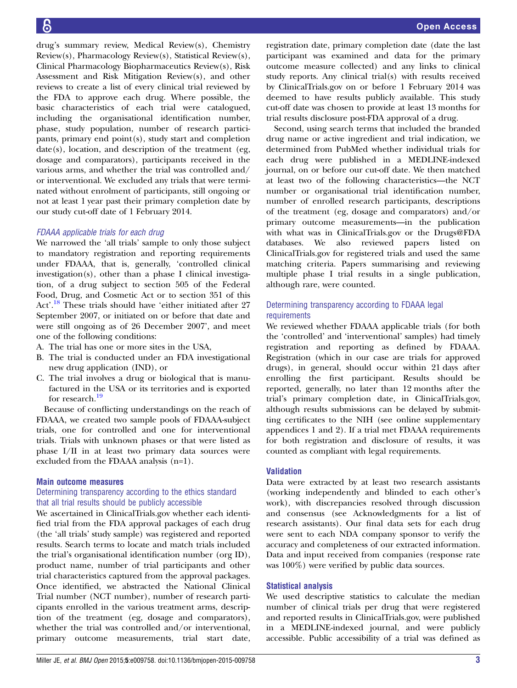drug's summary review, Medical Review(s), Chemistry Review(s), Pharmacology Review(s), Statistical Review(s), Clinical Pharmacology Biopharmaceutics Review(s), Risk Assessment and Risk Mitigation Review(s), and other reviews to create a list of every clinical trial reviewed by the FDA to approve each drug. Where possible, the basic characteristics of each trial were catalogued, including the organisational identification number, phase, study population, number of research participants, primary end point(s), study start and completion date(s), location, and description of the treatment (eg, dosage and comparators), participants received in the various arms, and whether the trial was controlled and/ or interventional. We excluded any trials that were terminated without enrolment of participants, still ongoing or not at least 1 year past their primary completion date by our study cut-off date of 1 February 2014.

# FDAAA applicable trials for each drug

We narrowed the 'all trials' sample to only those subject to mandatory registration and reporting requirements under FDAAA, that is, generally, 'controlled clinical investigation(s), other than a phase I clinical investigation, of a drug subject to section 505 of the Federal Food, Drug, and Cosmetic Act or to section 351 of this Act'.<sup>[18](#page-8-0)</sup> These trials should have 'either initiated after 27 September 2007, or initiated on or before that date and were still ongoing as of 26 December 2007', and meet one of the following conditions:

- A. The trial has one or more sites in the USA,
- B. The trial is conducted under an FDA investigational new drug application (IND), or
- C. The trial involves a drug or biological that is manufactured in the USA or its territories and is exported for research.<sup>[19](#page-8-0)</sup>

Because of conflicting understandings on the reach of FDAAA, we created two sample pools of FDAAA-subject trials, one for controlled and one for interventional trials. Trials with unknown phases or that were listed as phase I/II in at least two primary data sources were excluded from the FDAAA analysis (n=1).

#### Main outcome measures

# Determining transparency according to the ethics standard that all trial results should be publicly accessible

We ascertained in ClinicalTrials.gov whether each identified trial from the FDA approval packages of each drug (the 'all trials' study sample) was registered and reported results. Search terms to locate and match trials included the trial's organisational identification number (org ID), product name, number of trial participants and other trial characteristics captured from the approval packages. Once identified, we abstracted the National Clinical Trial number (NCT number), number of research participants enrolled in the various treatment arms, description of the treatment (eg, dosage and comparators), whether the trial was controlled and/or interventional, primary outcome measurements, trial start date,

registration date, primary completion date (date the last participant was examined and data for the primary outcome measure collected) and any links to clinical study reports. Any clinical trial(s) with results received by ClinicalTrials.gov on or before 1 February 2014 was deemed to have results publicly available. This study cut-off date was chosen to provide at least 13 months for trial results disclosure post-FDA approval of a drug.

Second, using search terms that included the branded drug name or active ingredient and trial indication, we determined from PubMed whether individual trials for each drug were published in a MEDLINE-indexed journal, on or before our cut-off date. We then matched at least two of the following characteristics—the NCT number or organisational trial identification number, number of enrolled research participants, descriptions of the treatment (eg, dosage and comparators) and/or primary outcome measurements—in the publication with what was in ClinicalTrials.gov or the Drugs@FDA databases. We also reviewed papers listed on ClinicalTrials.gov for registered trials and used the same matching criteria. Papers summarising and reviewing multiple phase I trial results in a single publication, although rare, were counted.

# Determining transparency according to FDAAA legal requirements

We reviewed whether FDAAA applicable trials (for both the 'controlled' and 'interventional' samples) had timely registration and reporting as defined by FDAAA. Registration (which in our case are trials for approved drugs), in general, should occur within 21 days after enrolling the first participant. Results should be reported, generally, no later than 12 months after the trial's primary completion date, in ClinicalTrials.gov, although results submissions can be delayed by submitting certificates to the NIH (see online supplementary appendices 1 and 2). If a trial met FDAAA requirements for both registration and disclosure of results, it was counted as compliant with legal requirements.

## Validation

Data were extracted by at least two research assistants (working independently and blinded to each other's work), with discrepancies resolved through discussion and consensus (see Acknowledgments for a list of research assistants). Our final data sets for each drug were sent to each NDA company sponsor to verify the accuracy and completeness of our extracted information. Data and input received from companies (response rate was 100%) were verified by public data sources.

## Statistical analysis

We used descriptive statistics to calculate the median number of clinical trials per drug that were registered and reported results in ClinicalTrials.gov, were published in a MEDLINE-indexed journal, and were publicly accessible. Public accessibility of a trial was defined as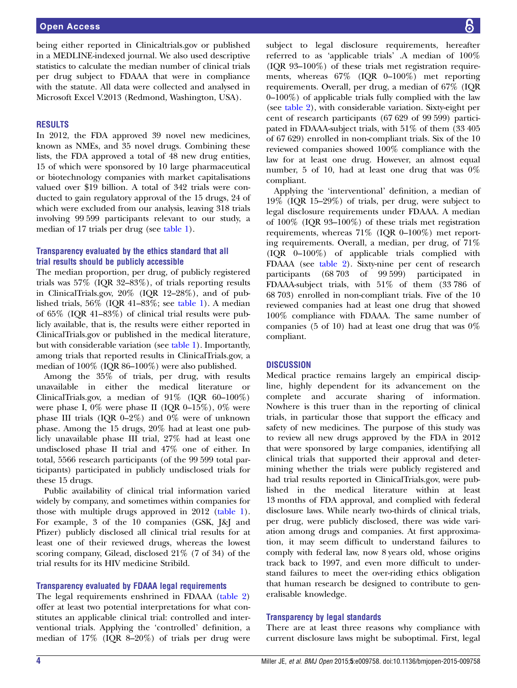being either reported in Clinicaltrials.gov or published in a MEDLINE-indexed journal. We also used descriptive statistics to calculate the median number of clinical trials per drug subject to FDAAA that were in compliance with the statute. All data were collected and analysed in Microsoft Excel V.2013 (Redmond, Washington, USA).

#### RESULTS

In 2012, the FDA approved 39 novel new medicines, known as NMEs, and 35 novel drugs. Combining these lists, the FDA approved a total of 48 new drug entities, 15 of which were sponsored by 10 large pharmaceutical or biotechnology companies with market capitalisations valued over \$19 billion. A total of 342 trials were conducted to gain regulatory approval of the 15 drugs, 24 of which were excluded from our analysis, leaving 318 trials involving 99 599 participants relevant to our study, a median of 17 trials per drug (see [table 1\)](#page-5-0).

### Transparency evaluated by the ethics standard that all trial results should be publicly accessible

The median proportion, per drug, of publicly registered trials was 57% (IQR 32–83%), of trials reporting results in ClinicalTrials.gov, 20% (IQR 12–28%), and of published trials, 56% (IQR 41–83%; see [table 1\)](#page-5-0). A median of 65% (IQR 41–83%) of clinical trial results were publicly available, that is, the results were either reported in ClinicalTrials.gov or published in the medical literature, but with considerable variation (see [table 1](#page-5-0)). Importantly, among trials that reported results in ClinicalTrials.gov, a median of 100% (IQR 86–100%) were also published.

Among the 35% of trials, per drug, with results unavailable in either the medical literature or ClinicalTrials.gov, a median of 91% (IQR 60–100%) were phase I, 0% were phase II (IQR 0–15%), 0% were phase III trials (IQR  $0-2\%$ ) and  $0\%$  were of unknown phase. Among the 15 drugs, 20% had at least one publicly unavailable phase III trial, 27% had at least one undisclosed phase II trial and 47% one of either. In total, 5566 research participants (of the 99 599 total participants) participated in publicly undisclosed trials for these 15 drugs.

Public availability of clinical trial information varied widely by company, and sometimes within companies for those with multiple drugs approved in 2012 [\(table 1\)](#page-5-0). For example, 3 of the 10 companies (GSK, J&J and Pfizer) publicly disclosed all clinical trial results for at least one of their reviewed drugs, whereas the lowest scoring company, Gilead, disclosed 21% (7 of 34) of the trial results for its HIV medicine Stribild.

### Transparency evaluated by FDAAA legal requirements

The legal requirements enshrined in FDAAA [\(table 2](#page-6-0)) offer at least two potential interpretations for what constitutes an applicable clinical trial: controlled and interventional trials. Applying the 'controlled' definition, a median of 17% (IQR 8–20%) of trials per drug were

subject to legal disclosure requirements, hereafter referred to as 'applicable trials' .A median of 100% (IQR 93–100%) of these trials met registration requirements, whereas 67% (IQR 0–100%) met reporting requirements. Overall, per drug, a median of 67% (IQR 0–100%) of applicable trials fully complied with the law (see [table 2\)](#page-6-0), with considerable variation. Sixty-eight per cent of research participants (67 629 of 99 599) participated in FDAAA-subject trials, with 51% of them (33 405 of 67 629) enrolled in non-compliant trials. Six of the 10 reviewed companies showed 100% compliance with the law for at least one drug. However, an almost equal number, 5 of 10, had at least one drug that was 0% compliant.

Applying the 'interventional' definition, a median of 19% (IQR 15–29%) of trials, per drug, were subject to legal disclosure requirements under FDAAA. A median of 100% (IQR 93–100%) of these trials met registration requirements, whereas 71% (IQR 0–100%) met reporting requirements. Overall, a median, per drug, of 71% (IQR 0–100%) of applicable trials complied with FDAAA (see [table 2](#page-6-0)). Sixty-nine per cent of research participants (68 703 of 99 599) participated FDAAA-subject trials, with 51% of them (33 786 of 68 703) enrolled in non-compliant trials. Five of the 10 reviewed companies had at least one drug that showed 100% compliance with FDAAA. The same number of companies (5 of 10) had at least one drug that was 0% compliant.

#### **DISCUSSION**

Medical practice remains largely an empirical discipline, highly dependent for its advancement on the complete and accurate sharing of information. Nowhere is this truer than in the reporting of clinical trials, in particular those that support the efficacy and safety of new medicines. The purpose of this study was to review all new drugs approved by the FDA in 2012 that were sponsored by large companies, identifying all clinical trials that supported their approval and determining whether the trials were publicly registered and had trial results reported in ClinicalTrials.gov, were published in the medical literature within at least 13 months of FDA approval, and complied with federal disclosure laws. While nearly two-thirds of clinical trials, per drug, were publicly disclosed, there was wide variation among drugs and companies. At first approximation, it may seem difficult to understand failures to comply with federal law, now 8 years old, whose origins track back to 1997, and even more difficult to understand failures to meet the over-riding ethics obligation that human research be designed to contribute to generalisable knowledge.

#### Transparency by legal standards

There are at least three reasons why compliance with current disclosure laws might be suboptimal. First, legal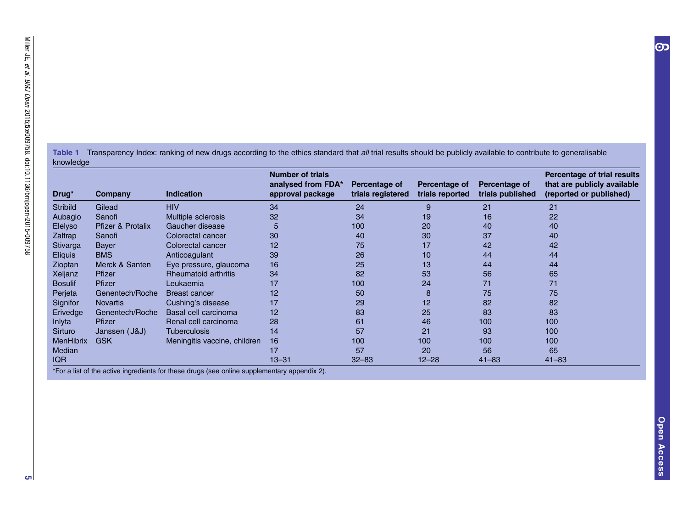| B7V 0 09758 com/1002788 doit10.1136/bminder-2015-009788 |  |
|---------------------------------------------------------|--|
|                                                         |  |
|                                                         |  |
|                                                         |  |
|                                                         |  |
|                                                         |  |
|                                                         |  |
|                                                         |  |
|                                                         |  |
|                                                         |  |

<span id="page-5-0"></span>Miller JE,

et al.

Table 1 Transparency Index: ranking of new drugs according to the ethics standard that all trial results should be publicly available to contribute to generalisable knowledge

| Drug*            | Company                      | <b>Indication</b>            | <b>Number of trials</b><br>analysed from FDA*<br>approval package | Percentage of<br>trials registered | Percentage of<br>trials reported | Percentage of<br>trials published | <b>Percentage of trial results</b><br>that are publicly available<br>(reported or published) |
|------------------|------------------------------|------------------------------|-------------------------------------------------------------------|------------------------------------|----------------------------------|-----------------------------------|----------------------------------------------------------------------------------------------|
| <b>Stribild</b>  | Gilead                       | <b>HIV</b>                   | 34                                                                | 24                                 | 9                                | 21                                | 21                                                                                           |
| Aubagio          | Sanofi                       | Multiple sclerosis           | 32                                                                | 34                                 | 19                               | 16                                | 22                                                                                           |
| Elelyso          | <b>Pfizer &amp; Protalix</b> | Gaucher disease              | 5                                                                 | 100                                | 20                               | 40                                | 40                                                                                           |
| Zaltrap          | Sanofi                       | Colorectal cancer            | 30                                                                | 40                                 | 30                               | 37                                | 40                                                                                           |
| <b>Stivarga</b>  | <b>Bayer</b>                 | Colorectal cancer            | 12                                                                | 75                                 | 17                               | 42                                | 42                                                                                           |
| <b>Eliquis</b>   | <b>BMS</b>                   | Anticoagulant                | 39                                                                | 26                                 | 10                               | 44                                | 44                                                                                           |
| Zioptan          | Merck & Santen               | Eye pressure, glaucoma       | 16                                                                | 25                                 | 13                               | 44                                | 44                                                                                           |
| Xeljanz          | Pfizer                       | <b>Rheumatoid arthritis</b>  | 34                                                                | 82                                 | 53                               | 56                                | 65                                                                                           |
| <b>Bosulif</b>   | Pfizer                       | Leukaemia                    | 17                                                                | 100                                | 24                               | 71                                | 71                                                                                           |
| Perjeta          | Genentech/Roche              | <b>Breast cancer</b>         | 12                                                                | 50                                 | 8                                | 75                                | 75                                                                                           |
| Signifor         | <b>Novartis</b>              | Cushing's disease            | 17                                                                | 29                                 | 12                               | 82                                | 82                                                                                           |
| Erivedge         | Genentech/Roche              | Basal cell carcinoma         | 12                                                                | 83                                 | 25                               | 83                                | 83                                                                                           |
| Inlyta           | Pfizer                       | Renal cell carcinoma         | 28                                                                | 61                                 | 46                               | 100                               | 100                                                                                          |
| Sirturo          | Janssen (J&J)                | Tuberculosis                 | 14                                                                | 57                                 | 21                               | 93                                | 100                                                                                          |
| <b>MenHibrix</b> | <b>GSK</b>                   | Meningitis vaccine, children | 16                                                                | 100                                | 100                              | 100                               | 100                                                                                          |
| <b>Median</b>    |                              |                              | 17                                                                | 57                                 | 20                               | 56                                | 65                                                                                           |
| <b>IQR</b>       |                              |                              | $13 - 31$                                                         | $32 - 83$                          | $12 - 28$                        | $41 - 83$                         | $41 - 83$                                                                                    |

\*For <sup>a</sup> list of the active ingredients for these drugs (see online supplementary appendix 2).

 $\bigodot$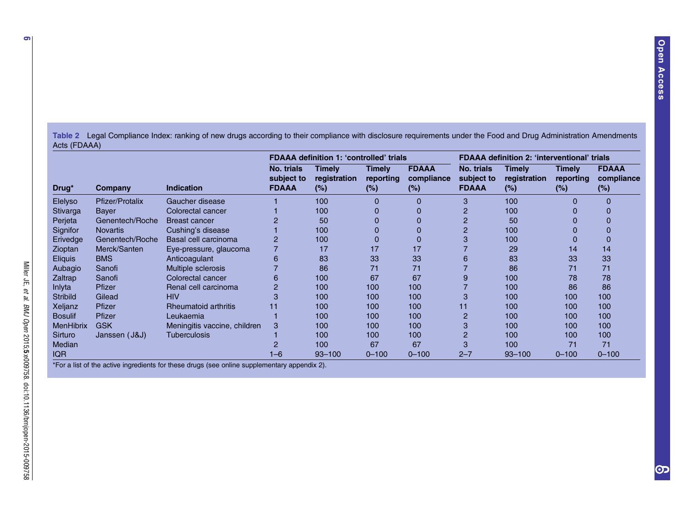<span id="page-6-0"></span>Table 2 Legal Compliance Index: ranking of new drugs according to their compliance with disclosure requirements under the Food and Drug Administration Amendments Acts (FDAAA)

|                 |                        |                              | <b>FDAAA</b> definition 1: 'controlled' trials |                                  |                               | <b>FDAAA definition 2: 'interventional' trials</b> |                                          |                                         |                                      |                                      |
|-----------------|------------------------|------------------------------|------------------------------------------------|----------------------------------|-------------------------------|----------------------------------------------------|------------------------------------------|-----------------------------------------|--------------------------------------|--------------------------------------|
| Drug*           | Company                | <b>Indication</b>            | No. trials<br>subject to<br><b>FDAAA</b>       | Timely<br>registration<br>$(\%)$ | Timely<br>reporting<br>$(\%)$ | <b>FDAAA</b><br>compliance<br>$(\%)$               | No. trials<br>subject to<br><b>FDAAA</b> | <b>Timely</b><br>registration<br>$(\%)$ | <b>Timely</b><br>reporting<br>$(\%)$ | <b>FDAAA</b><br>compliance<br>$(\%)$ |
| Elelyso         | <b>Pfizer/Protalix</b> | Gaucher disease              |                                                | 100                              | $\Omega$                      | 0                                                  | 3                                        | 100                                     | 0                                    | $\Omega$                             |
| <b>Stivarga</b> | <b>Bayer</b>           | Colorectal cancer            |                                                | 100                              | 0                             | 0                                                  | 2                                        | 100                                     |                                      |                                      |
| Perjeta         | Genentech/Roche        | <b>Breast cancer</b>         |                                                | 50                               |                               | 0                                                  | 2                                        | 50                                      |                                      |                                      |
| Signifor        | <b>Novartis</b>        | Cushing's disease            |                                                | 100                              |                               | 0                                                  | 2                                        | 100                                     |                                      |                                      |
| Erivedge        | Genentech/Roche        | Basal cell carcinoma         |                                                | 100                              |                               | 0                                                  | 3                                        | 100                                     | $\Omega$                             | 0                                    |
| Zioptan         | Merck/Santen           | Eye-pressure, glaucoma       |                                                | 17                               | 17                            | 17                                                 |                                          | 29                                      | 14                                   | 14                                   |
| <b>Eliquis</b>  | <b>BMS</b>             | Anticoagulant                | 6                                              | 83                               | 33                            | 33                                                 | 6                                        | 83                                      | 33                                   | 33                                   |
| Aubagio         | Sanofi                 | Multiple sclerosis           |                                                | 86                               | 71                            | 71                                                 |                                          | 86                                      | 71                                   | 71                                   |
| Zaltrap         | Sanofi                 | Colorectal cancer            | 6                                              | 100                              | 67                            | 67                                                 | 9                                        | 100                                     | 78                                   | 78                                   |
| Inlyta          | Pfizer                 | Renal cell carcinoma         | 2                                              | 100                              | 100                           | 100                                                |                                          | 100                                     | 86                                   | 86                                   |
| <b>Stribild</b> | Gilead                 | <b>HIV</b>                   | 3                                              | 100                              | 100                           | 100                                                | 3                                        | 100                                     | 100                                  | 100                                  |
| Xeljanz         | <b>Pfizer</b>          | <b>Rheumatoid arthritis</b>  | 11                                             | 100                              | 100                           | 100                                                | 11                                       | 100                                     | 100                                  | 100                                  |
| <b>Bosulif</b>  | <b>Pfizer</b>          | Leukaemia                    |                                                | 100                              | 100                           | 100                                                | $\overline{2}$                           | 100                                     | 100                                  | 100                                  |
| MenHibrix       | <b>GSK</b>             | Meningitis vaccine, children |                                                | 100                              | 100                           | 100                                                | 3                                        | 100                                     | 100                                  | 100                                  |
| Sirturo         | Janssen (J&J)          | <b>Tuberculosis</b>          |                                                | 100                              | 100                           | 100                                                | 2                                        | 100                                     | 100                                  | 100                                  |
| <b>Median</b>   |                        |                              |                                                | 100                              | 67                            | 67                                                 | 3                                        | 100                                     | 71                                   | 71                                   |
| <b>IQR</b>      |                        |                              | $1 - 6$                                        | $93 - 100$                       | $0 - 100$                     | $0 - 100$                                          | $2 - 7$                                  | $93 - 100$                              | $0 - 100$                            | $0 - 100$                            |

\*For <sup>a</sup> list of the active ingredients for these drugs (see online supplementary appendix 2).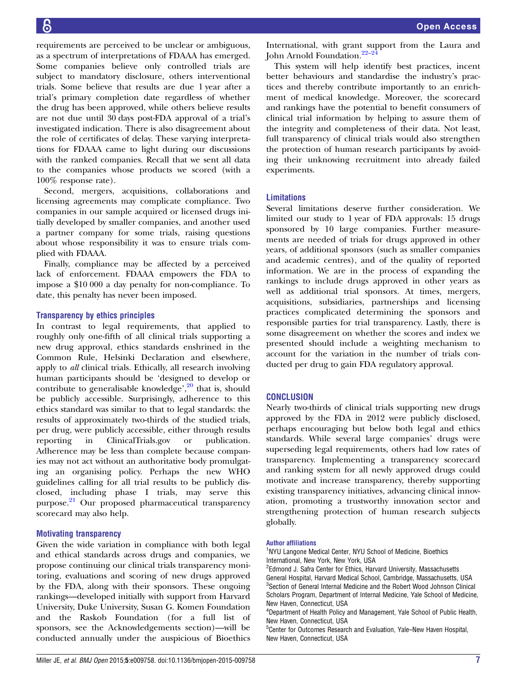requirements are perceived to be unclear or ambiguous, as a spectrum of interpretations of FDAAA has emerged. Some companies believe only controlled trials are subject to mandatory disclosure, others interventional trials. Some believe that results are due 1 year after a trial's primary completion date regardless of whether the drug has been approved, while others believe results are not due until 30 days post-FDA approval of a trial's investigated indication. There is also disagreement about the role of certificates of delay. These varying interpretations for FDAAA came to light during our discussions with the ranked companies. Recall that we sent all data to the companies whose products we scored (with a 100% response rate).

Second, mergers, acquisitions, collaborations and licensing agreements may complicate compliance. Two companies in our sample acquired or licensed drugs initially developed by smaller companies, and another used a partner company for some trials, raising questions about whose responsibility it was to ensure trials complied with FDAAA.

Finally, compliance may be affected by a perceived lack of enforcement. FDAAA empowers the FDA to impose a \$10 000 a day penalty for non-compliance. To date, this penalty has never been imposed.

## Transparency by ethics principles

In contrast to legal requirements, that applied to roughly only one-fifth of all clinical trials supporting a new drug approval, ethics standards enshrined in the Common Rule, Helsinki Declaration and elsewhere, apply to all clinical trials. Ethically, all research involving human participants should be 'designed to develop or contribute to generalisable knowledge',<sup>[20](#page-8-0)</sup> that is, should be publicly accessible. Surprisingly, adherence to this ethics standard was similar to that to legal standards: the results of approximately two-thirds of the studied trials, per drug, were publicly accessible, either through results reporting in ClinicalTrials.gov or publication. Adherence may be less than complete because companies may not act without an authoritative body promulgating an organising policy. Perhaps the new WHO guidelines calling for all trial results to be publicly disclosed, including phase I trials, may serve this purpose.<sup>[21](#page-8-0)</sup> Our proposed pharmaceutical transparency scorecard may also help.

## Motivating transparency

Given the wide variation in compliance with both legal and ethical standards across drugs and companies, we propose continuing our clinical trials transparency monitoring, evaluations and scoring of new drugs approved by the FDA, along with their sponsors. These ongoing rankings—developed initially with support from Harvard University, Duke University, Susan G. Komen Foundation and the Raskob Foundation (for a full list of sponsors, see the Acknowledgements section)—will be conducted annually under the auspicious of Bioethics

International, with grant support from the Laura and John Arnold Foundation.<sup>[22](#page-8-0)–24</sup>

This system will help identify best practices, incent better behaviours and standardise the industry's practices and thereby contribute importantly to an enrichment of medical knowledge. Moreover, the scorecard and rankings have the potential to benefit consumers of clinical trial information by helping to assure them of the integrity and completeness of their data. Not least, full transparency of clinical trials would also strengthen the protection of human research participants by avoiding their unknowing recruitment into already failed experiments.

### **Limitations**

Several limitations deserve further consideration. We limited our study to 1 year of FDA approvals: 15 drugs sponsored by 10 large companies. Further measurements are needed of trials for drugs approved in other years, of additional sponsors (such as smaller companies and academic centres), and of the quality of reported information. We are in the process of expanding the rankings to include drugs approved in other years as well as additional trial sponsors. At times, mergers, acquisitions, subsidiaries, partnerships and licensing practices complicated determining the sponsors and responsible parties for trial transparency. Lastly, there is some disagreement on whether the scores and index we presented should include a weighting mechanism to account for the variation in the number of trials conducted per drug to gain FDA regulatory approval.

#### **CONCLUSION**

Nearly two-thirds of clinical trials supporting new drugs approved by the FDA in 2012 were publicly disclosed, perhaps encouraging but below both legal and ethics standards. While several large companies' drugs were superseding legal requirements, others had low rates of transparency. Implementing a transparency scorecard and ranking system for all newly approved drugs could motivate and increase transparency, thereby supporting existing transparency initiatives, advancing clinical innovation, promoting a trustworthy innovation sector and strengthening protection of human research subjects globally.

#### Author affiliations

<sup>1</sup>NYU Langone Medical Center, NYU School of Medicine, Bioethics International, New York, New York, USA

<sup>2</sup>Edmond J. Safra Center for Ethics, Harvard University, Massachusetts General Hospital, Harvard Medical School, Cambridge, Massachusetts, USA <sup>3</sup>Section of General Internal Medicine and the Robert Wood Johnson Clinical Scholars Program, Department of Internal Medicine, Yale School of Medicine, New Haven, Connecticut, USA

<sup>4</sup>Department of Health Policy and Management, Yale School of Public Health, New Haven, Connecticut, USA

5 Center for Outcomes Research and Evaluation, Yale–New Haven Hospital, New Haven, Connecticut, USA